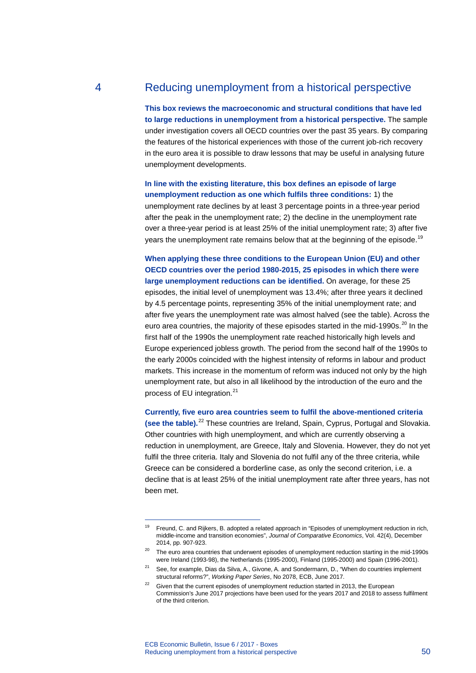# 4 Reducing unemployment from a historical perspective

**This box reviews the macroeconomic and structural conditions that have led to large reductions in unemployment from a historical perspective.** The sample under investigation covers all OECD countries over the past 35 years. By comparing the features of the historical experiences with those of the current job-rich recovery in the euro area it is possible to draw lessons that may be useful in analysing future unemployment developments.

**In line with the existing literature, this box defines an episode of large unemployment reduction as one which fulfils three conditions:** 1) the unemployment rate declines by at least 3 percentage points in a three-year period after the peak in the unemployment rate; 2) the decline in the unemployment rate over a three-year period is at least 25% of the initial unemployment rate; 3) after five years the unemployment rate remains below that at the beginning of the episode.<sup>[19](#page-0-0)</sup>

**When applying these three conditions to the European Union (EU) and other OECD countries over the period 1980-2015, 25 episodes in which there were large unemployment reductions can be identified.** On average, for these 25 episodes, the initial level of unemployment was 13.4%; after three years it declined by 4.5 percentage points, representing 35% of the initial unemployment rate; and after five years the unemployment rate was almost halved (see the table). Across the euro area countries, the majority of these episodes started in the mid-1990s.<sup>[20](#page-0-1)</sup> In the first half of the 1990s the unemployment rate reached historically high levels and Europe experienced jobless growth. The period from the second half of the 1990s to the early 2000s coincided with the highest intensity of reforms in labour and product markets. This increase in the momentum of reform was induced not only by the high unemployment rate, but also in all likelihood by the introduction of the euro and the process of EU integration.<sup>[21](#page-0-2)</sup>

**Currently, five euro area countries seem to fulfil the above-mentioned criteria (see the table).**[22](#page-0-3) These countries are Ireland, Spain, Cyprus, Portugal and Slovakia. Other countries with high unemployment, and which are currently observing a reduction in unemployment, are Greece, Italy and Slovenia. However, they do not yet fulfil the three criteria. Italy and Slovenia do not fulfil any of the three criteria, while Greece can be considered a borderline case, as only the second criterion, i.e. a decline that is at least 25% of the initial unemployment rate after three years, has not been met.

-

<span id="page-0-0"></span><sup>&</sup>lt;sup>19</sup> Freund, C. and Rijkers, B. adopted a related approach in "Episodes of unemployment reduction in rich, middle-income and transition economies", *Journal of Comparative Economics*, Vol. 42(4), December 2014, pp. 907-923.

<span id="page-0-1"></span> $20$  The euro area countries that underwent episodes of unemployment reduction starting in the mid-1990s were Ireland (1993-98), the Netherlands (1995-2000), Finland (1995-2000) and Spain (1996-2001).

<span id="page-0-2"></span><sup>&</sup>lt;sup>21</sup> See, for example, Dias da Silva, A., Givone, A. and Sondermann, D., "When do countries implement structural reforms?", *Working Paper Series*, No 2078, ECB, June 2017.

<span id="page-0-3"></span> $22$  Given that the current episodes of unemployment reduction started in 2013, the European Commission's June 2017 projections have been used for the years 2017 and 2018 to assess fulfilment of the third criterion.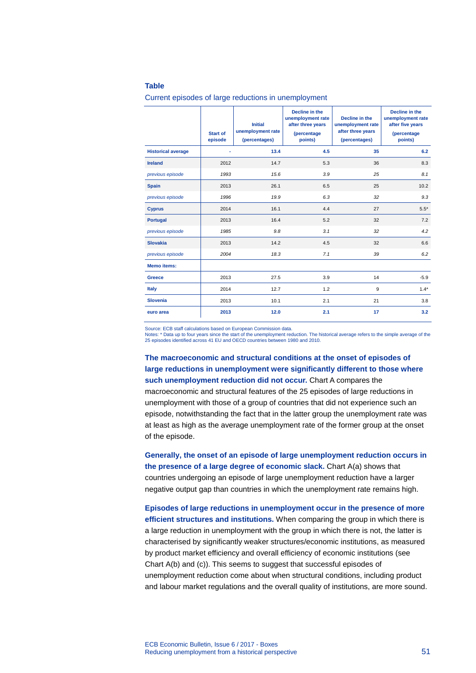#### **Table**

|                           | <b>Start of</b><br>episode | <b>Initial</b><br>unemployment rate<br>(percentages) | Decline in the<br>unemployment rate<br>after three years<br>(percentage<br>points) | Decline in the<br>unemployment rate<br>after three years<br>(percentages) | Decline in the<br>unemployment rate<br>after five years<br><i>(percentage)</i><br>points) |
|---------------------------|----------------------------|------------------------------------------------------|------------------------------------------------------------------------------------|---------------------------------------------------------------------------|-------------------------------------------------------------------------------------------|
| <b>Historical average</b> | ä,                         | 13.4                                                 | 4.5                                                                                | 35                                                                        | 6.2                                                                                       |
| <b>Ireland</b>            | 2012                       | 14.7                                                 | 5.3                                                                                | 36                                                                        | 8.3                                                                                       |
| previous episode          | 1993                       | 15.6                                                 | 3.9                                                                                | 25                                                                        | 8.1                                                                                       |
| <b>Spain</b>              | 2013                       | 26.1                                                 | 6.5                                                                                | 25                                                                        | 10.2                                                                                      |
| previous episode          | 1996                       | 19.9                                                 | 6.3                                                                                | 32                                                                        | 9.3                                                                                       |
| <b>Cyprus</b>             | 2014                       | 16.1                                                 | 4.4                                                                                | 27                                                                        | $5.5*$                                                                                    |
| <b>Portugal</b>           | 2013                       | 16.4                                                 | 5.2                                                                                | 32                                                                        | 7.2                                                                                       |
| previous episode          | 1985                       | 9.8                                                  | 3.1                                                                                | 32                                                                        | 4.2                                                                                       |
| <b>Slovakia</b>           | 2013                       | 14.2                                                 | 4.5                                                                                | 32                                                                        | 6.6                                                                                       |
| previous episode          | 2004                       | 18.3                                                 | 7.1                                                                                | 39                                                                        | 6.2                                                                                       |
| <b>Memo items:</b>        |                            |                                                      |                                                                                    |                                                                           |                                                                                           |
| <b>Greece</b>             | 2013                       | 27.5                                                 | 3.9                                                                                | 14                                                                        | $-5.9$                                                                                    |
| <b>Italy</b>              | 2014                       | 12.7                                                 | 1.2                                                                                | 9                                                                         | $1.4*$                                                                                    |
| <b>Slovenia</b>           | 2013                       | 10.1                                                 | 2.1                                                                                | 21                                                                        | 3.8                                                                                       |
| euro area                 | 2013                       | 12.0                                                 | 2.1                                                                                | 17                                                                        | 3.2                                                                                       |

#### Current episodes of large reductions in unemployment

Source: ECB staff calculations based on European Commission data.

Notes: \* Data up to four years since the start of the unemployment reduction. The historical average refers to the simple average of the 25 episodes identified across 41 EU and OECD countries between 1980 and 2010.

**The macroeconomic and structural conditions at the onset of episodes of large reductions in unemployment were significantly different to those where such unemployment reduction did not occur.** Chart A compares the macroeconomic and structural features of the 25 episodes of large reductions in unemployment with those of a group of countries that did not experience such an episode, notwithstanding the fact that in the latter group the unemployment rate was at least as high as the average unemployment rate of the former group at the onset of the episode.

**Generally, the onset of an episode of large unemployment reduction occurs in the presence of a large degree of economic slack.** Chart A(a) shows that countries undergoing an episode of large unemployment reduction have a larger negative output gap than countries in which the unemployment rate remains high.

**Episodes of large reductions in unemployment occur in the presence of more efficient structures and institutions.** When comparing the group in which there is a large reduction in unemployment with the group in which there is not, the latter is characterised by significantly weaker structures/economic institutions, as measured by product market efficiency and overall efficiency of economic institutions (see Chart A(b) and (c)). This seems to suggest that successful episodes of unemployment reduction come about when structural conditions, including product and labour market regulations and the overall quality of institutions, are more sound.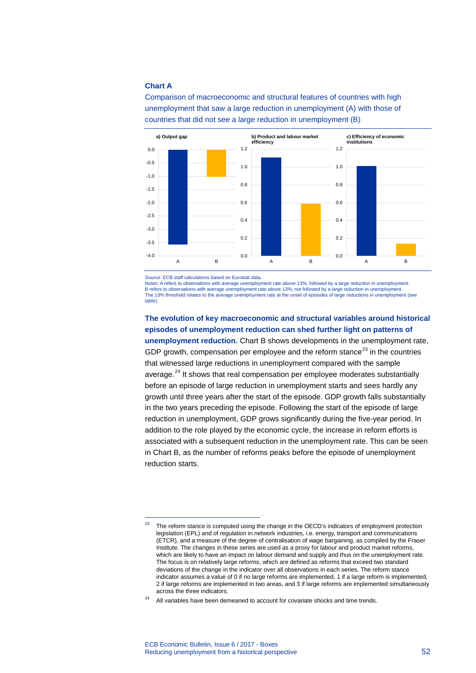### **Chart A**

-

Comparison of macroeconomic and structural features of countries with high unemployment that saw a large reduction in unemployment (A) with those of countries that did not see a large reduction in unemployment (B)



Source: ECB staff calculations based on Eurostat data.

Notes: A refers to observations with average unemployment rate above 13%, followed by a large reduction in unemployment. B refers to observations with average unemployment rate above 13%, not followed by a large reduction in unemployment The 13% threshold relates to the average unemployment rate at the onset of episodes of large reductions in unemployment (see table).

**The evolution of key macroeconomic and structural variables around historical episodes of unemployment reduction can shed further light on patterns of unemployment reduction.** Chart B shows developments in the unemployment rate, GDP growth, compensation per employee and the reform stance<sup>[23](#page-2-0)</sup> in the countries that witnessed large reductions in unemployment compared with the sample average. $24$  It shows that real compensation per employee moderates substantially before an episode of large reduction in unemployment starts and sees hardly any growth until three years after the start of the episode. GDP growth falls substantially in the two years preceding the episode. Following the start of the episode of large reduction in unemployment, GDP grows significantly during the five-year period. In addition to the role played by the economic cycle, the increase in reform efforts is associated with a subsequent reduction in the unemployment rate. This can be seen in Chart B, as the number of reforms peaks before the episode of unemployment reduction starts.

<span id="page-2-0"></span><sup>&</sup>lt;sup>23</sup> The reform stance is computed using the change in the OECD's indicators of employment protection legislation (EPL) and of regulation in network industries, i.e. energy, transport and communications (ETCR), and a measure of the degree of centralisation of wage bargaining, as compiled by the Fraser Institute. The changes in these series are used as a proxy for labour and product market reforms, which are likely to have an impact on labour demand and supply and thus on the unemployment rate. The focus is on relatively large reforms, which are defined as reforms that exceed two standard deviations of the change in the indicator over all observations in each series. The reform stance indicator assumes a value of 0 if no large reforms are implemented, 1 if a large reform is implemented, 2 if large reforms are implemented in two areas, and 3 if large reforms are implemented simultaneously across the three indicators.

<span id="page-2-1"></span> $24$  All variables have been demeaned to account for covariate shocks and time trends.